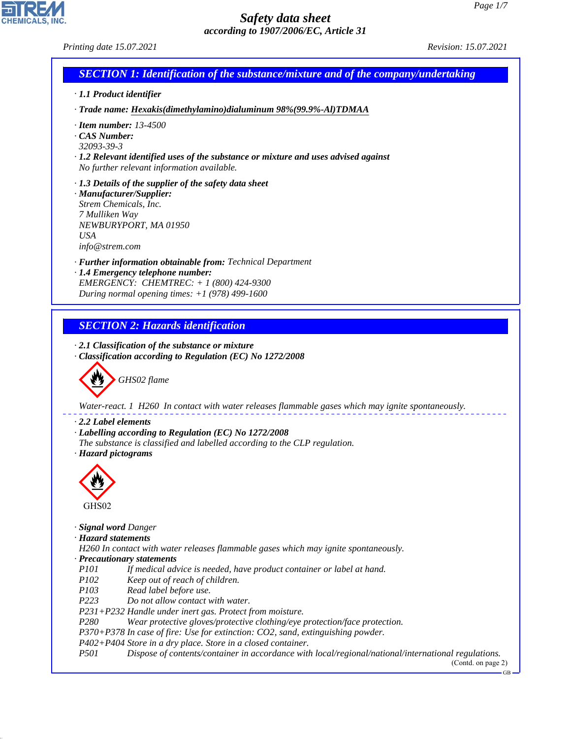CHEMICALS, INC.

44.1.1

| Printing date 15.07.2021                                                                                                                                                                                                                                      | Revision: 15.07.2021         |
|---------------------------------------------------------------------------------------------------------------------------------------------------------------------------------------------------------------------------------------------------------------|------------------------------|
| <b>SECTION 1: Identification of the substance/mixture and of the company/undertaking</b>                                                                                                                                                                      |                              |
| · 1.1 Product identifier                                                                                                                                                                                                                                      |                              |
| · Trade name: Hexakis(dimethylamino)dialuminum 98%(99.9%-Al)TDMAA                                                                                                                                                                                             |                              |
| $\cdot$ Item number: 13-4500<br>· CAS Number:<br>32093-39-3<br>$\cdot$ 1.2 Relevant identified uses of the substance or mixture and uses advised against<br>No further relevant information available.                                                        |                              |
| $\cdot$ 1.3 Details of the supplier of the safety data sheet<br>· Manufacturer/Supplier:<br>Strem Chemicals, Inc.<br>7 Mulliken Way<br>NEWBURYPORT, MA 01950<br><b>USA</b><br>info@strem.com                                                                  |                              |
| · Further information obtainable from: Technical Department<br>· 1.4 Emergency telephone number:<br>EMERGENCY: CHEMTREC: $+ 1 (800) 424 - 9300$<br>During normal opening times: $+1$ (978) 499-1600                                                           |                              |
|                                                                                                                                                                                                                                                               |                              |
| <b>SECTION 2: Hazards identification</b>                                                                                                                                                                                                                      |                              |
| $\cdot$ 2.1 Classification of the substance or mixture<br>· Classification according to Regulation (EC) No 1272/2008<br>GHS02 flame                                                                                                                           |                              |
| Water-react. 1 H260 In contact with water releases flammable gases which may ignite spontaneously.                                                                                                                                                            |                              |
| $\cdot$ 2.2 Label elements<br>· Labelling according to Regulation (EC) No 1272/2008<br>The substance is classified and labelled according to the CLP regulation.<br>· Hazard pictograms                                                                       |                              |
| GHS02                                                                                                                                                                                                                                                         |                              |
| · Signal word Danger<br>· Hazard statements<br>H260 In contact with water releases flammable gases which may ignite spontaneously.<br>· Precautionary statements<br>P <sub>101</sub><br>If medical advice is needed, have product container or label at hand. |                              |
| P <sub>102</sub><br>Keep out of reach of children.<br>P <sub>103</sub><br>Read label before use.                                                                                                                                                              |                              |
| P <sub>223</sub><br>Do not allow contact with water.                                                                                                                                                                                                          |                              |
| P231+P232 Handle under inert gas. Protect from moisture.<br>P <sub>280</sub><br>Wear protective gloves/protective clothing/eye protection/face protection.                                                                                                    |                              |
| P370+P378 In case of fire: Use for extinction: CO2, sand, extinguishing powder.                                                                                                                                                                               |                              |
| P402+P404 Store in a dry place. Store in a closed container.<br><i>P501</i><br>Dispose of contents/container in accordance with local/regional/national/international regulations.                                                                            | (Contd. on page 2)<br>$GB -$ |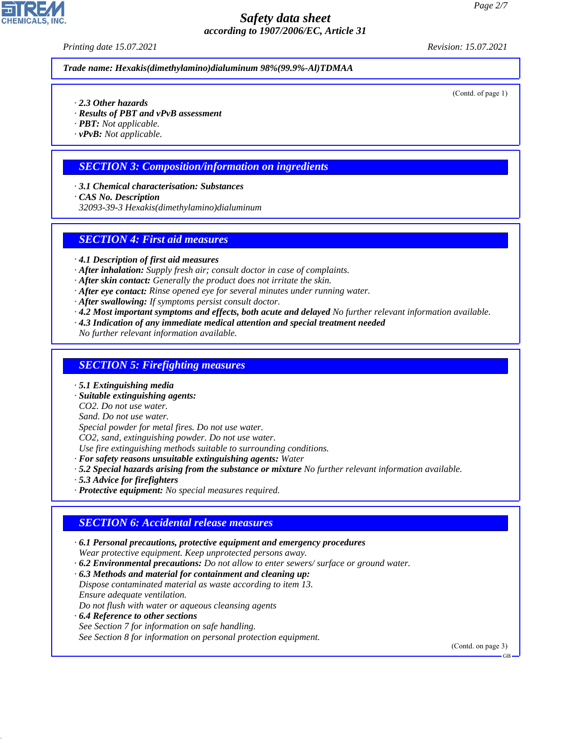*Printing date 15.07.2021 Revision: 15.07.2021*

*Trade name: Hexakis(dimethylamino)dialuminum 98%(99.9%-Al)TDMAA*

(Contd. of page 1)

- *· 2.3 Other hazards*
- *· Results of PBT and vPvB assessment*
- *· PBT: Not applicable.*
- *· vPvB: Not applicable.*

## *SECTION 3: Composition/information on ingredients*

- *· 3.1 Chemical characterisation: Substances*
- *· CAS No. Description*
- *32093-39-3 Hexakis(dimethylamino)dialuminum*

## *SECTION 4: First aid measures*

- *· 4.1 Description of first aid measures*
- *· After inhalation: Supply fresh air; consult doctor in case of complaints.*
- *· After skin contact: Generally the product does not irritate the skin.*
- *· After eye contact: Rinse opened eye for several minutes under running water.*
- *· After swallowing: If symptoms persist consult doctor.*
- *· 4.2 Most important symptoms and effects, both acute and delayed No further relevant information available.*
- *· 4.3 Indication of any immediate medical attention and special treatment needed*
- *No further relevant information available.*

#### *SECTION 5: Firefighting measures*

- *· 5.1 Extinguishing media*
- *· Suitable extinguishing agents:*
- *CO2. Do not use water.*
- *Sand. Do not use water.*
- *Special powder for metal fires. Do not use water.*
- *CO2, sand, extinguishing powder. Do not use water.*
- *Use fire extinguishing methods suitable to surrounding conditions.*
- *· For safety reasons unsuitable extinguishing agents: Water*
- *· 5.2 Special hazards arising from the substance or mixture No further relevant information available.*
- *· 5.3 Advice for firefighters*

44.1.1

*· Protective equipment: No special measures required.*

## *SECTION 6: Accidental release measures*

- *· 6.1 Personal precautions, protective equipment and emergency procedures Wear protective equipment. Keep unprotected persons away. · 6.2 Environmental precautions: Do not allow to enter sewers/ surface or ground water. · 6.3 Methods and material for containment and cleaning up: Dispose contaminated material as waste according to item 13. Ensure adequate ventilation. Do not flush with water or aqueous cleansing agents*
- *· 6.4 Reference to other sections See Section 7 for information on safe handling. See Section 8 for information on personal protection equipment.*

(Contd. on page 3)



GB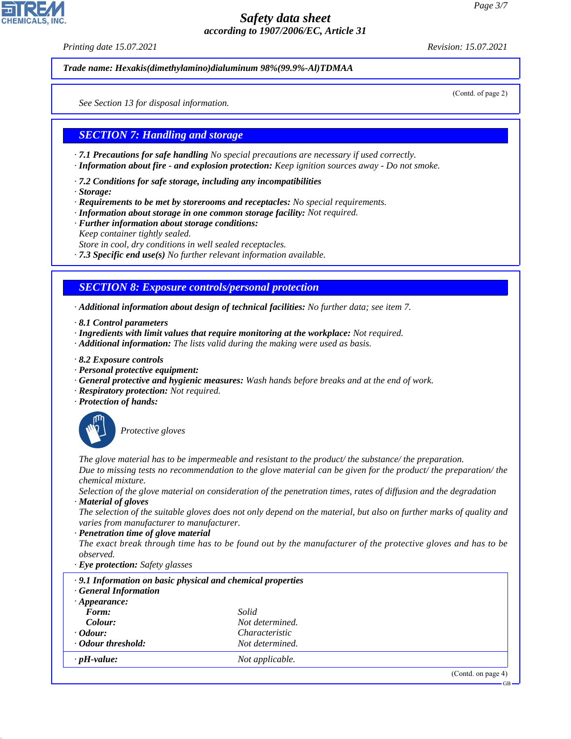*Printing date 15.07.2021 Revision: 15.07.2021*

*Trade name: Hexakis(dimethylamino)dialuminum 98%(99.9%-Al)TDMAA*

(Contd. of page 2)

*See Section 13 for disposal information.*

## *SECTION 7: Handling and storage*

*· 7.1 Precautions for safe handling No special precautions are necessary if used correctly.*

*· Information about fire - and explosion protection: Keep ignition sources away - Do not smoke.*

*· 7.2 Conditions for safe storage, including any incompatibilities*

*· Storage:*

*· Requirements to be met by storerooms and receptacles: No special requirements.*

*· Information about storage in one common storage facility: Not required.*

*· Further information about storage conditions: Keep container tightly sealed. Store in cool, dry conditions in well sealed receptacles.*

*· 7.3 Specific end use(s) No further relevant information available.*

# *SECTION 8: Exposure controls/personal protection*

*· Additional information about design of technical facilities: No further data; see item 7.*

*· 8.1 Control parameters*

*· Ingredients with limit values that require monitoring at the workplace: Not required.*

*· Additional information: The lists valid during the making were used as basis.*

*· 8.2 Exposure controls*

- *· Personal protective equipment:*
- *· General protective and hygienic measures: Wash hands before breaks and at the end of work.*
- *· Respiratory protection: Not required.*
- *· Protection of hands:*



44.1.1

\_S*Protective gloves*

*The glove material has to be impermeable and resistant to the product/ the substance/ the preparation. Due to missing tests no recommendation to the glove material can be given for the product/ the preparation/ the chemical mixture.*

*Selection of the glove material on consideration of the penetration times, rates of diffusion and the degradation · Material of gloves*

*The selection of the suitable gloves does not only depend on the material, but also on further marks of quality and varies from manufacturer to manufacturer.*

*· Penetration time of glove material*

*The exact break through time has to be found out by the manufacturer of the protective gloves and has to be observed.*

*· Eye protection: Safety glasses*

| .9.1 Information on basic physical and chemical properties<br><b>General Information</b> |                       |                    |
|------------------------------------------------------------------------------------------|-----------------------|--------------------|
| $\cdot$ Appearance:                                                                      |                       |                    |
| Form:                                                                                    | Solid                 |                    |
| Colour:                                                                                  | Not determined.       |                    |
| $\cdot$ Odour:                                                                           | <i>Characteristic</i> |                    |
| · Odour threshold:                                                                       | Not determined.       |                    |
| $\cdot$ pH-value:                                                                        | Not applicable.       |                    |
|                                                                                          |                       | (Contd. on page 4) |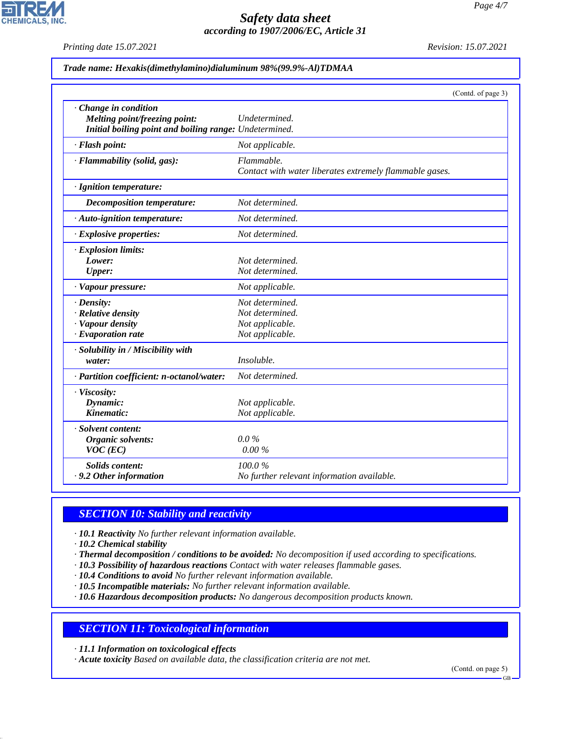*Printing date 15.07.2021 Revision: 15.07.2021*

**CHEMICALS, INC.** 

|                                                                                                                  | (Contd. of page 3)                                                       |
|------------------------------------------------------------------------------------------------------------------|--------------------------------------------------------------------------|
| · Change in condition<br>Melting point/freezing point:<br>Initial boiling point and boiling range: Undetermined. | Undetermined.                                                            |
| · Flash point:                                                                                                   | Not applicable.                                                          |
| · Flammability (solid, gas):                                                                                     | Flammable.<br>Contact with water liberates extremely flammable gases.    |
| · Ignition temperature:                                                                                          |                                                                          |
| <b>Decomposition temperature:</b>                                                                                | Not determined.                                                          |
| · Auto-ignition temperature:                                                                                     | Not determined.                                                          |
| · Explosive properties:                                                                                          | Not determined.                                                          |
| · Explosion limits:<br>Lower:<br>Upper:<br>· Vapour pressure:                                                    | Not determined.<br>Not determined.<br>Not applicable.                    |
| $\cdot$ Density:<br>· Relative density<br>· Vapour density<br>$\cdot$ Evaporation rate                           | Not determined.<br>Not determined.<br>Not applicable.<br>Not applicable. |
| · Solubility in / Miscibility with<br>water:                                                                     | Insoluble.                                                               |
| · Partition coefficient: n-octanol/water:                                                                        | Not determined.                                                          |
| · Viscosity:<br>Dynamic:<br>Kinematic:                                                                           | Not applicable.<br>Not applicable.                                       |
| · Solvent content:<br>Organic solvents:<br>$VOC$ (EC)                                                            | $0.0\%$<br>0.00 %                                                        |
| <b>Solids content:</b><br>. 9.2 Other information                                                                | 100.0%<br>No further relevant information available.                     |

## *SECTION 10: Stability and reactivity*

*· 10.1 Reactivity No further relevant information available.*

*· 10.2 Chemical stability*

44.1.1

- *· Thermal decomposition / conditions to be avoided: No decomposition if used according to specifications.*
- *· 10.3 Possibility of hazardous reactions Contact with water releases flammable gases.*
- *· 10.4 Conditions to avoid No further relevant information available.*
- *· 10.5 Incompatible materials: No further relevant information available.*

*· 10.6 Hazardous decomposition products: No dangerous decomposition products known.*

## *SECTION 11: Toxicological information*

*· 11.1 Information on toxicological effects*

*· Acute toxicity Based on available data, the classification criteria are not met.*

(Contd. on page 5)

GB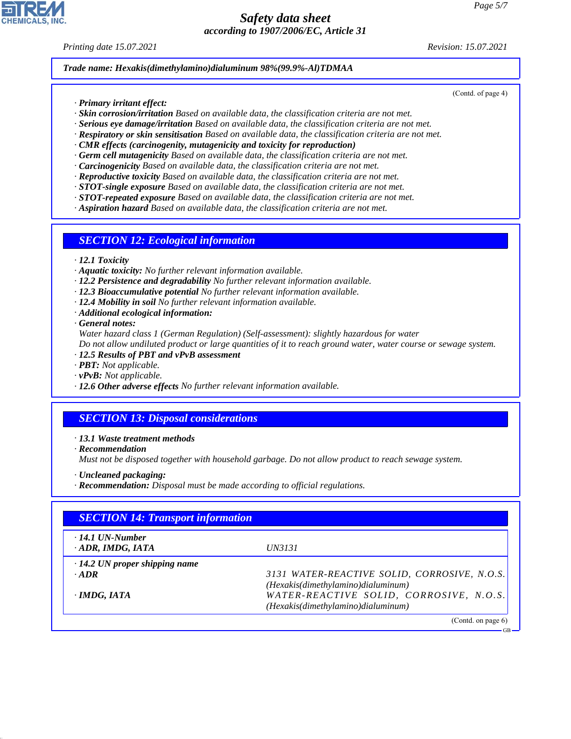#### *Printing date 15.07.2021 Revision: 15.07.2021*

(Contd. of page 4)

#### *Trade name: Hexakis(dimethylamino)dialuminum 98%(99.9%-Al)TDMAA*

- *· Primary irritant effect:*
- *· Skin corrosion/irritation Based on available data, the classification criteria are not met.*
- *· Serious eye damage/irritation Based on available data, the classification criteria are not met.*
- *· Respiratory or skin sensitisation Based on available data, the classification criteria are not met.*
- *· CMR effects (carcinogenity, mutagenicity and toxicity for reproduction)*
- *· Germ cell mutagenicity Based on available data, the classification criteria are not met.*
- *· Carcinogenicity Based on available data, the classification criteria are not met.*
- *· Reproductive toxicity Based on available data, the classification criteria are not met.*
- *· STOT-single exposure Based on available data, the classification criteria are not met.*
- *· STOT-repeated exposure Based on available data, the classification criteria are not met.*
- *· Aspiration hazard Based on available data, the classification criteria are not met.*

## *SECTION 12: Ecological information*

- *· 12.1 Toxicity*
- *· Aquatic toxicity: No further relevant information available.*
- *· 12.2 Persistence and degradability No further relevant information available.*
- *· 12.3 Bioaccumulative potential No further relevant information available.*
- *· 12.4 Mobility in soil No further relevant information available.*
- *· Additional ecological information:*

*· General notes:*

*Water hazard class 1 (German Regulation) (Self-assessment): slightly hazardous for water Do not allow undiluted product or large quantities of it to reach ground water, water course or sewage system.*

- *· 12.5 Results of PBT and vPvB assessment*
- *· PBT: Not applicable.*
- *· vPvB: Not applicable.*
- *· 12.6 Other adverse effects No further relevant information available.*

# *SECTION 13: Disposal considerations*

#### *· 13.1 Waste treatment methods*

*· Recommendation*

44.1.1

*Must not be disposed together with household garbage. Do not allow product to reach sewage system.*

- *· Uncleaned packaging:*
- *· Recommendation: Disposal must be made according to official regulations.*

| <b>SECTION 14: Transport information</b>          |                                              |  |
|---------------------------------------------------|----------------------------------------------|--|
| $\cdot$ 14.1 UN-Number<br>$\cdot$ ADR, IMDG, IATA | <i>UN3131</i>                                |  |
| $\cdot$ 14.2 UN proper shipping name              |                                              |  |
| $\cdot$ ADR                                       | 3131 WATER-REACTIVE SOLID, CORROSIVE, N.O.S. |  |
|                                                   | (Hexakis(dimethylamino)dialuminum)           |  |
| $\cdot$ IMDG, IATA                                | WATER-REACTIVE SOLID, CORROSIVE, N.O.S.      |  |
|                                                   | (Hexakis(dimethylamino)dialuminum)           |  |
|                                                   | (Contd. on page 6)                           |  |

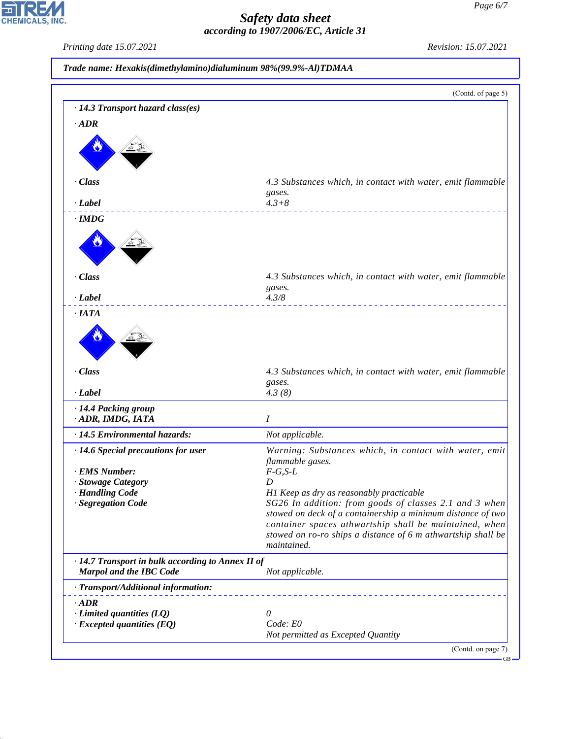*Printing date 15.07.2021 Revision: 15.07.2021*

CHEMICALS, INC.

44.1.1

|                                                                                     | (Contd. of page 5)                                                                                                                                                                                                                                                                                                                                                                   |
|-------------------------------------------------------------------------------------|--------------------------------------------------------------------------------------------------------------------------------------------------------------------------------------------------------------------------------------------------------------------------------------------------------------------------------------------------------------------------------------|
| · 14.3 Transport hazard class(es)                                                   |                                                                                                                                                                                                                                                                                                                                                                                      |
| $-ADR$                                                                              |                                                                                                                                                                                                                                                                                                                                                                                      |
|                                                                                     |                                                                                                                                                                                                                                                                                                                                                                                      |
| · Class                                                                             | 4.3 Substances which, in contact with water, emit flammable<br>gases.                                                                                                                                                                                                                                                                                                                |
| · Label                                                                             | $4.3 + 8$                                                                                                                                                                                                                                                                                                                                                                            |
| $\cdot$ IMDG                                                                        |                                                                                                                                                                                                                                                                                                                                                                                      |
|                                                                                     |                                                                                                                                                                                                                                                                                                                                                                                      |
| · Class<br>$\cdot$ <i>Label</i>                                                     | 4.3 Substances which, in contact with water, emit flammable<br>gases.<br>4.3/8                                                                                                                                                                                                                                                                                                       |
| $\cdot$ IATA                                                                        |                                                                                                                                                                                                                                                                                                                                                                                      |
|                                                                                     |                                                                                                                                                                                                                                                                                                                                                                                      |
|                                                                                     |                                                                                                                                                                                                                                                                                                                                                                                      |
| · Class                                                                             | gases.                                                                                                                                                                                                                                                                                                                                                                               |
| · Label                                                                             | 4.3(8)                                                                                                                                                                                                                                                                                                                                                                               |
| · 14.4 Packing group                                                                | I                                                                                                                                                                                                                                                                                                                                                                                    |
| · ADR, IMDG, IATA                                                                   |                                                                                                                                                                                                                                                                                                                                                                                      |
| · 14.5 Environmental hazards:<br>· 14.6 Special precautions for user                | Not applicable.                                                                                                                                                                                                                                                                                                                                                                      |
| · EMS Number:                                                                       | flammable gases.<br>$F-G, S-L$                                                                                                                                                                                                                                                                                                                                                       |
| · Stowage Category                                                                  | D                                                                                                                                                                                                                                                                                                                                                                                    |
| · Handling Code                                                                     | H1 Keep as dry as reasonably practicable                                                                                                                                                                                                                                                                                                                                             |
| · Segregation Code                                                                  | maintained.                                                                                                                                                                                                                                                                                                                                                                          |
| · 14.7 Transport in bulk according to Annex II of<br><b>Marpol and the IBC Code</b> | Not applicable.                                                                                                                                                                                                                                                                                                                                                                      |
| · Transport/Additional information:                                                 |                                                                                                                                                                                                                                                                                                                                                                                      |
|                                                                                     |                                                                                                                                                                                                                                                                                                                                                                                      |
| $\cdot$ ADR                                                                         | 0                                                                                                                                                                                                                                                                                                                                                                                    |
| $\cdot$ Limited quantities (LQ)<br>$\cdot$ Excepted quantities (EQ)                 | 4.3 Substances which, in contact with water, emit flammable<br>Warning: Substances which, in contact with water, emit<br>SG26 In addition: from goods of classes 2.1 and 3 when<br>stowed on deck of a containership a minimum distance of two<br>container spaces athwartship shall be maintained, when<br>stowed on ro-ro ships a distance of 6 m athwartship shall be<br>Code: E0 |

 $-GB$